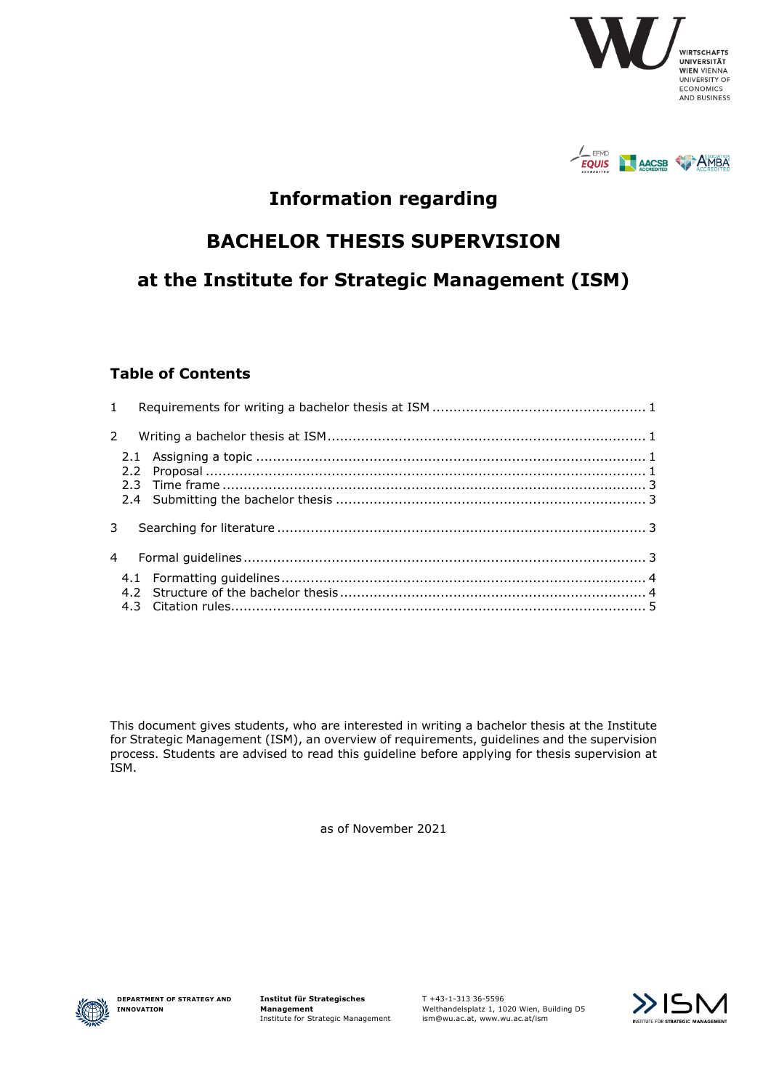



## **Information regarding**

## **BACHELOR THESIS SUPERVISION**

# **at the Institute for Strategic Management (ISM)**

#### **Table of Contents**

This document gives students, who are interested in writing a bachelor thesis at the Institute for Strategic Management (ISM), an overview of requirements, guidelines and the supervision process. Students are advised to read this guideline before applying for thesis supervision at ISM.

as of November 2021



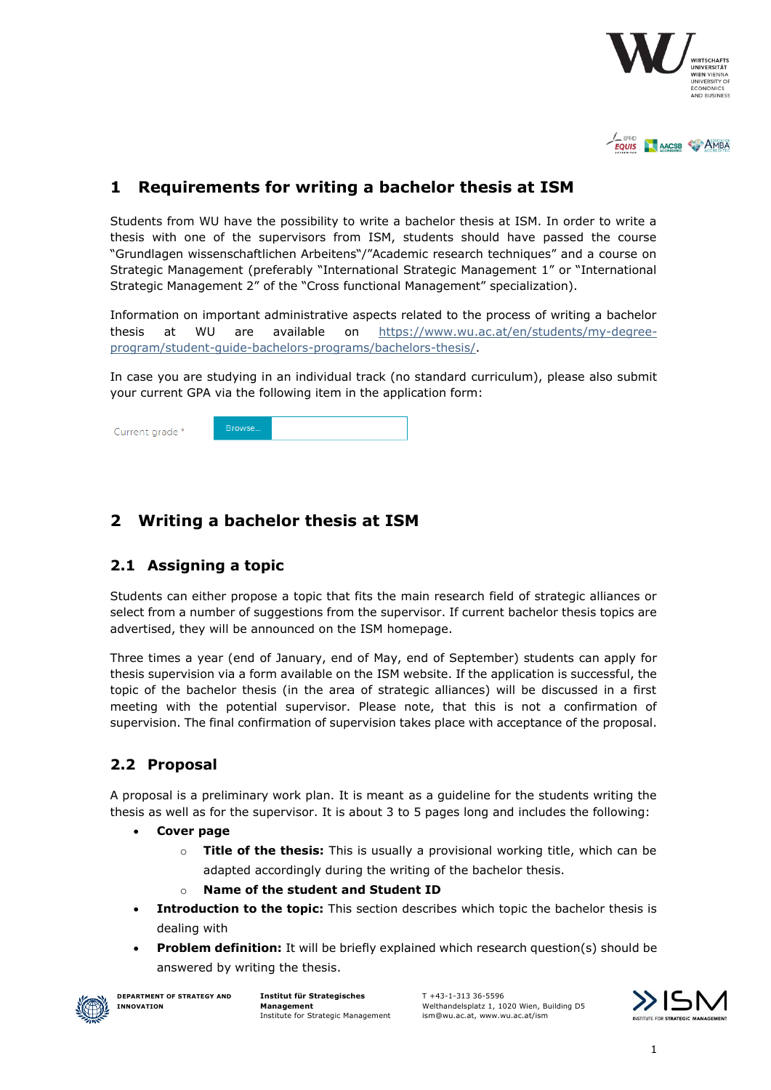



### <span id="page-1-0"></span>**1 Requirements for writing a bachelor thesis at ISM**

Students from WU have the possibility to write a bachelor thesis at ISM. In order to write a thesis with one of the supervisors from ISM, students should have passed the course "Grundlagen wissenschaftlichen Arbeitens"/"Academic research techniques" and a course on Strategic Management (preferably "International Strategic Management 1" or "International Strategic Management 2" of the "Cross functional Management" specialization).

Information on important administrative aspects related to the process of writing a bachelor thesis at WU are available on [https://www.wu.ac.at/en/students/my-degree](https://www.wu.ac.at/en/students/my-degree-program/student-guide-bachelors-programs/bachelors-thesis/)[program/student-guide-bachelors-programs/bachelors-thesis/.](https://www.wu.ac.at/en/students/my-degree-program/student-guide-bachelors-programs/bachelors-thesis/)

In case you are studying in an individual track (no standard curriculum), please also submit your current GPA via the following item in the application form:



## <span id="page-1-1"></span>**2 Writing a bachelor thesis at ISM**

#### <span id="page-1-2"></span>**2.1 Assigning a topic**

Students can either propose a topic that fits the main research field of strategic alliances or select from a number of suggestions from the supervisor. If current bachelor thesis topics are advertised, they will be announced on the ISM homepage.

Three times a year (end of January, end of May, end of September) students can apply for thesis supervision via a form available on the ISM website. If the application is successful, the topic of the bachelor thesis (in the area of strategic alliances) will be discussed in a first meeting with the potential supervisor. Please note, that this is not a confirmation of supervision. The final confirmation of supervision takes place with acceptance of the proposal.

#### <span id="page-1-3"></span>**2.2 Proposal**

A proposal is a preliminary work plan. It is meant as a guideline for the students writing the thesis as well as for the supervisor. It is about 3 to 5 pages long and includes the following:

- **Cover page**
	- o **Title of the thesis:** This is usually a provisional working title, which can be adapted accordingly during the writing of the bachelor thesis.
	- o **Name of the student and Student ID**
- **Introduction to the topic:** This section describes which topic the bachelor thesis is dealing with
- **Problem definition:** It will be briefly explained which research question(s) should be answered by writing the thesis.



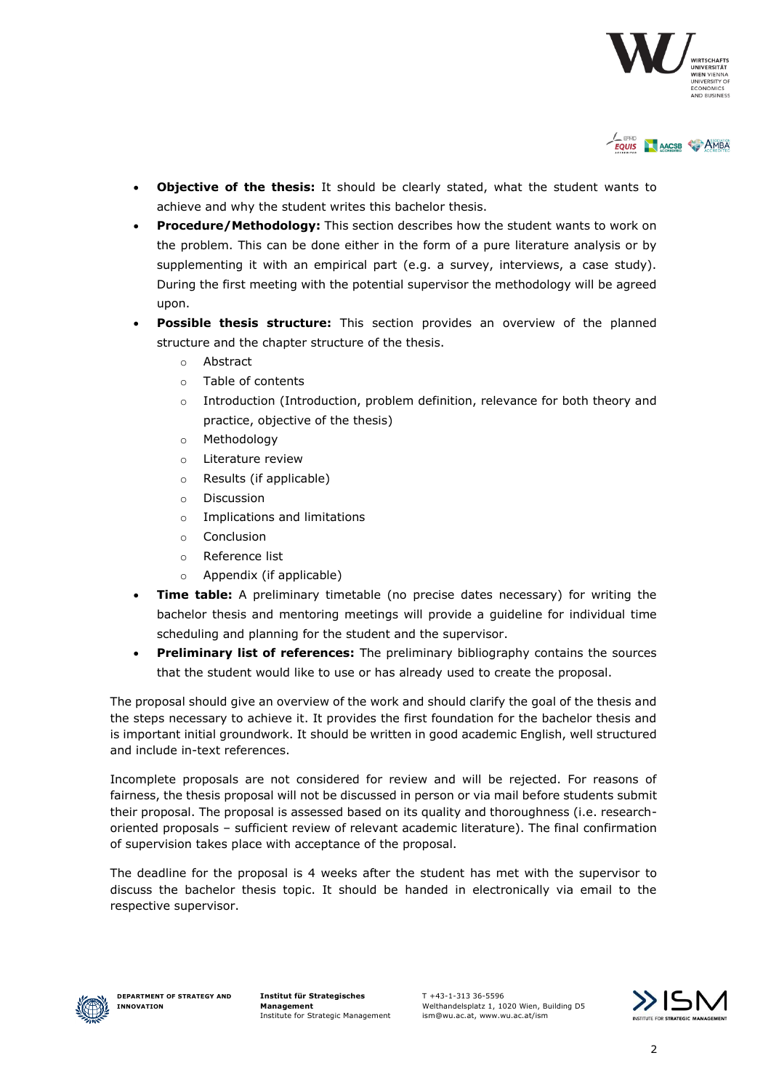



- **Objective of the thesis:** It should be clearly stated, what the student wants to achieve and why the student writes this bachelor thesis.
- **Procedure/Methodology:** This section describes how the student wants to work on the problem. This can be done either in the form of a pure literature analysis or by supplementing it with an empirical part (e.g. a survey, interviews, a case study). During the first meeting with the potential supervisor the methodology will be agreed upon.
- **Possible thesis structure:** This section provides an overview of the planned structure and the chapter structure of the thesis.
	- o Abstract
	- o Table of contents
	- $\circ$  Introduction (Introduction, problem definition, relevance for both theory and practice, objective of the thesis)
	- o Methodology
	- o Literature review
	- o Results (if applicable)
	- o Discussion
	- o Implications and limitations
	- o Conclusion
	- o Reference list
	- o Appendix (if applicable)
- **Time table:** A preliminary timetable (no precise dates necessary) for writing the bachelor thesis and mentoring meetings will provide a guideline for individual time scheduling and planning for the student and the supervisor.
- **Preliminary list of references:** The preliminary bibliography contains the sources that the student would like to use or has already used to create the proposal.

The proposal should give an overview of the work and should clarify the goal of the thesis and the steps necessary to achieve it. It provides the first foundation for the bachelor thesis and is important initial groundwork. It should be written in good academic English, well structured and include in-text references.

Incomplete proposals are not considered for review and will be rejected. For reasons of fairness, the thesis proposal will not be discussed in person or via mail before students submit their proposal. The proposal is assessed based on its quality and thoroughness (i.e. researchoriented proposals – sufficient review of relevant academic literature). The final confirmation of supervision takes place with acceptance of the proposal.

The deadline for the proposal is 4 weeks after the student has met with the supervisor to discuss the bachelor thesis topic. It should be handed in electronically via email to the respective supervisor.



**Institut für Strategisches Management** Institute for Strategic Management

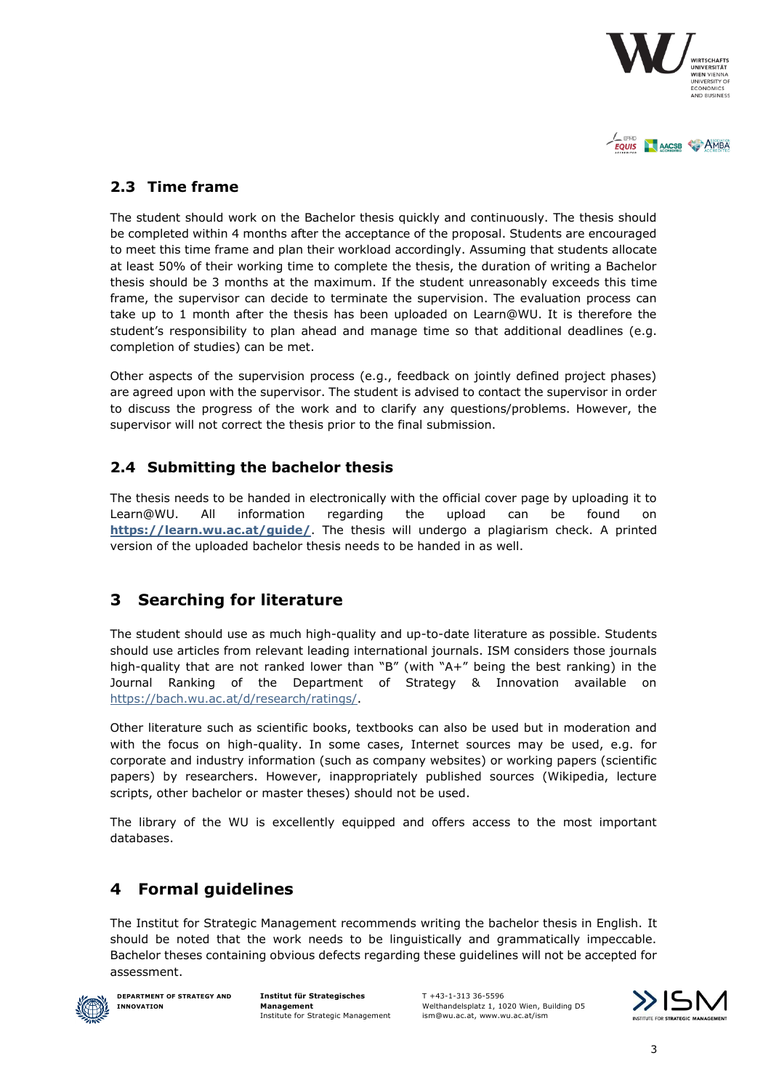



#### <span id="page-3-0"></span>**2.3 Time frame**

The student should work on the Bachelor thesis quickly and continuously. The thesis should be completed within 4 months after the acceptance of the proposal. Students are encouraged to meet this time frame and plan their workload accordingly. Assuming that students allocate at least 50% of their working time to complete the thesis, the duration of writing a Bachelor thesis should be 3 months at the maximum. If the student unreasonably exceeds this time frame, the supervisor can decide to terminate the supervision. The evaluation process can take up to 1 month after the thesis has been uploaded on Learn@WU. It is therefore the student's responsibility to plan ahead and manage time so that additional deadlines (e.g. completion of studies) can be met.

Other aspects of the supervision process (e.g., feedback on jointly defined project phases) are agreed upon with the supervisor. The student is advised to contact the supervisor in order to discuss the progress of the work and to clarify any questions/problems. However, the supervisor will not correct the thesis prior to the final submission.

#### <span id="page-3-1"></span>**2.4 Submitting the bachelor thesis**

The thesis needs to be handed in electronically with the official cover page by uploading it to Learn@WU. All information regarding the upload can be found on **<https://learn.wu.ac.at/guide/>**. The thesis will undergo a plagiarism check. A printed version of the uploaded bachelor thesis needs to be handed in as well.

### <span id="page-3-2"></span>**3 Searching for literature**

The student should use as much high-quality and up-to-date literature as possible. Students should use articles from relevant leading international journals. ISM considers those journals high-quality that are not ranked lower than "B" (with "A+" being the best ranking) in the Journal Ranking of the Department of Strategy & Innovation available [https://bach.wu.ac.at/d/research/ratings/.](https://bach.wu.ac.at/d/research/ratings/)

Other literature such as scientific books, textbooks can also be used but in moderation and with the focus on high-quality. In some cases, Internet sources may be used, e.g. for corporate and industry information (such as company websites) or working papers (scientific papers) by researchers. However, inappropriately published sources (Wikipedia, lecture scripts, other bachelor or master theses) should not be used.

<span id="page-3-3"></span>The library of the WU is excellently equipped and offers access to the most important databases.

### **4 Formal guidelines**

The Institut for Strategic Management recommends writing the bachelor thesis in English. It should be noted that the work needs to be linguistically and grammatically impeccable. Bachelor theses containing obvious defects regarding these guidelines will not be accepted for assessment.



**DEPARTMENT OF STRATEGY AND INNOVATION**

**Institut für Strategisches Management** Institute for Strategic Management

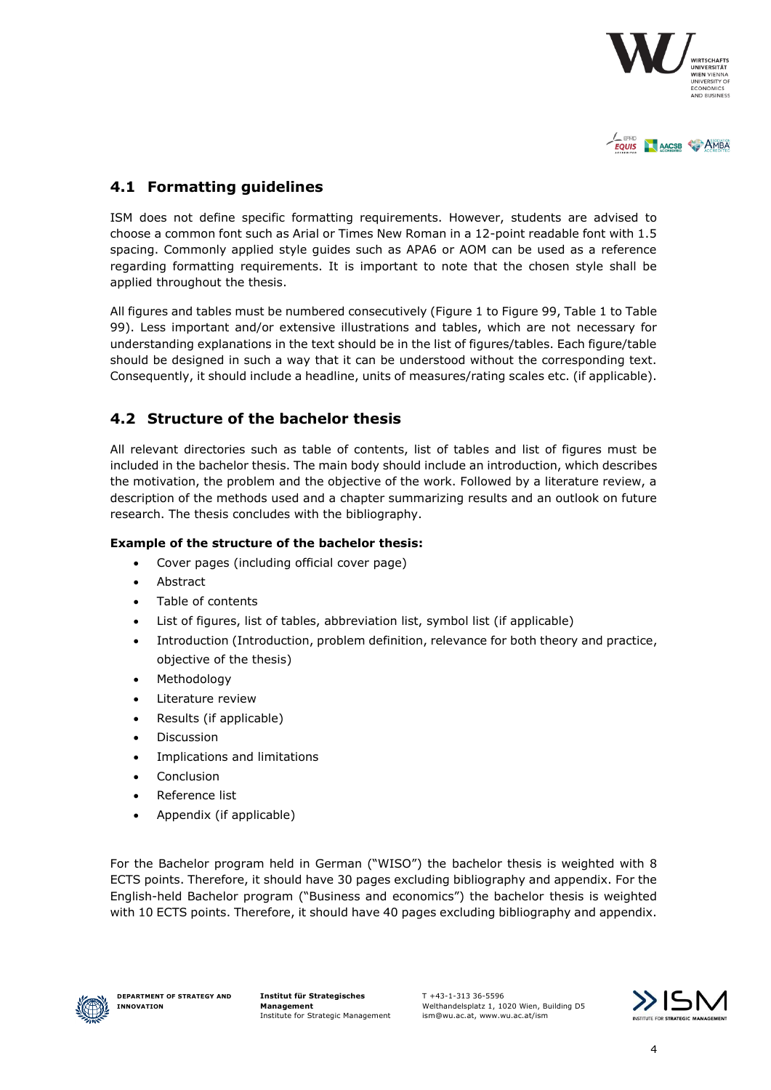



#### <span id="page-4-0"></span>**4.1 Formatting guidelines**

ISM does not define specific formatting requirements. However, students are advised to choose a common font such as Arial or Times New Roman in a 12-point readable font with 1.5 spacing. Commonly applied style guides such as APA6 or AOM can be used as a reference regarding formatting requirements. It is important to note that the chosen style shall be applied throughout the thesis.

All figures and tables must be numbered consecutively (Figure 1 to Figure 99, Table 1 to Table 99). Less important and/or extensive illustrations and tables, which are not necessary for understanding explanations in the text should be in the list of figures/tables. Each figure/table should be designed in such a way that it can be understood without the corresponding text. Consequently, it should include a headline, units of measures/rating scales etc. (if applicable).

#### <span id="page-4-1"></span>**4.2 Structure of the bachelor thesis**

All relevant directories such as table of contents, list of tables and list of figures must be included in the bachelor thesis. The main body should include an introduction, which describes the motivation, the problem and the objective of the work. Followed by a literature review, a description of the methods used and a chapter summarizing results and an outlook on future research. The thesis concludes with the bibliography.

#### **Example of the structure of the bachelor thesis:**

- Cover pages (including official cover page)
- Abstract
- Table of contents
- List of figures, list of tables, abbreviation list, symbol list (if applicable)
- Introduction (Introduction, problem definition, relevance for both theory and practice, objective of the thesis)
- Methodology
- Literature review
- Results (if applicable)
- Discussion
- Implications and limitations
- **Conclusion**
- Reference list
- Appendix (if applicable)

For the Bachelor program held in German ("WISO") the bachelor thesis is weighted with 8 ECTS points. Therefore, it should have 30 pages excluding bibliography and appendix. For the English-held Bachelor program ("Business and economics") the bachelor thesis is weighted with 10 ECTS points. Therefore, it should have 40 pages excluding bibliography and appendix.



**Institut für Strategisches Management** Institute for Strategic Management